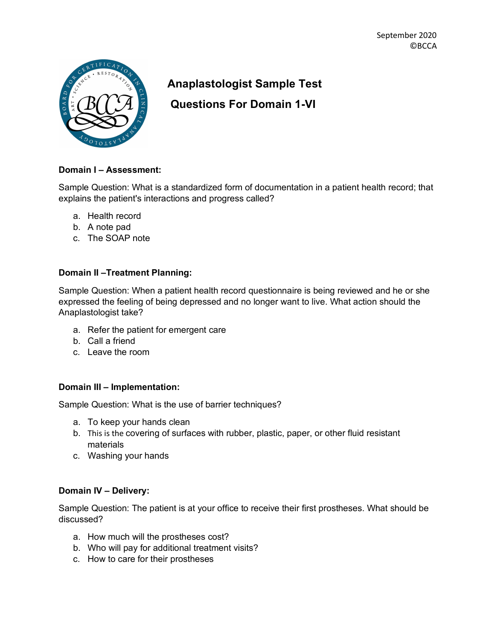

# **Anaplastologist Sample Test**

**Questions For Domain 1-VI**

## **Domain I – Assessment:**

Sample Question: What is a standardized form of documentation in a patient health record; that explains the patient's interactions and progress called?

- a. Health record
- b. A note pad
- c. The SOAP note

## **Domain II –Treatment Planning:**

Sample Question: When a patient health record questionnaire is being reviewed and he or she expressed the feeling of being depressed and no longer want to live. What action should the Anaplastologist take?

- a. Refer the patient for emergent care
- b. Call a friend
- c. Leave the room

### **Domain III – Implementation:**

Sample Question: What is the use of barrier techniques?

- a. To keep your hands clean
- b. This is the covering of surfaces with rubber, plastic, paper, or other fluid resistant materials
- c. Washing your hands

## **Domain IV – Delivery:**

Sample Question: The patient is at your office to receive their first prostheses. What should be discussed?

- a. How much will the prostheses cost?
- b. Who will pay for additional treatment visits?
- c. How to care for their prostheses